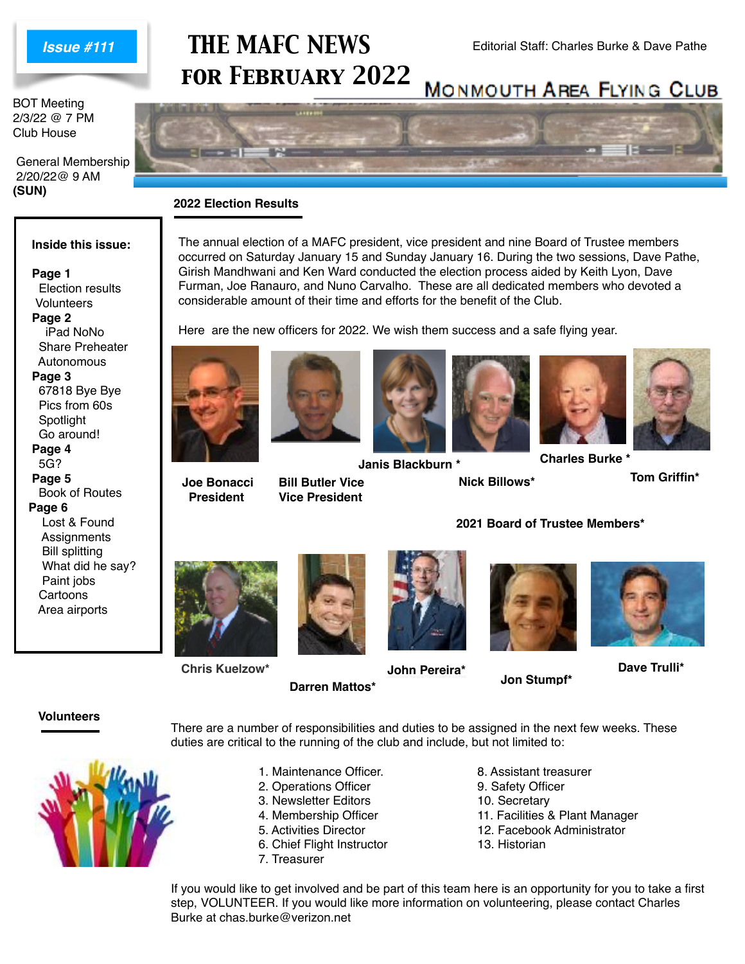

BOT Meeting 2/3/22 @ 7 PM Club House

 General Membership 2/20/22@ 9 AM **(SUN)**

# **THE MAFC NEWS** Editorial Staff: Charles Burke & Dave Pathe *for February 2022*



The annual election of a MAFC president, vice president and nine Board of Trustee members occurred on Saturday January 15 and Sunday January 16. During the two sessions, Dave Pathe, Girish Mandhwani and Ken Ward conducted the election process aided by Keith Lyon, Dave Furman, Joe Ranauro, and Nuno Carvalho. These are all dedicated members who devoted a

#### **2022 Election Results**

#### **Inside this issue:**

 **Page 1** Election results **Volunteers Page 2** iPad NoNo Share Preheater Autonomous  **Page 3** 67818 Bye Bye Pics from 60s

 Spotlight Go around! **Page 4** 5G?  **Page 5** Book of Routes **Page 6** Lost & Found **Assignments**  Bill splitting What did he say? Paint jobs

 Cartoons Area airports









**Janis Blackburn \*** 

**Bill Butler Vice Vice President**

duties are critical to the running of the club and include, but not limited to:

considerable amount of their time and efforts for the benefit of the Club.

**Nick Billows\***



**Tom Griffin\***



**Chris Kuelzow\***



**John Pereira\***

There are a number of responsibilities and duties to be assigned in the next few weeks. These

**2021 Board of Trustee Members\***



**Dave Trulli\***

**Jon Stumpf\***

#### **Volunteers**



1. Maintenance Officer. 8. Assistant treasurer

**Darren Mattos\***

- 2. Operations Officer 9. Safety Officer
- 3. Newsletter Editors 10. Secretary
- 
- 
- 6. Chief Flight Instructor 13. Historian
- 7. Treasurer
- 
- 
- 
- 4. Membership Officer 11. Facilities & Plant Manager
- 5. Activities Director 12. Facebook Administrator
	-

If you would like to get involved and be part of this team here is an opportunity for you to take a first step, VOLUNTEER. If you would like more information on volunteering, please contact Charles Burke at chas.burke@verizon.net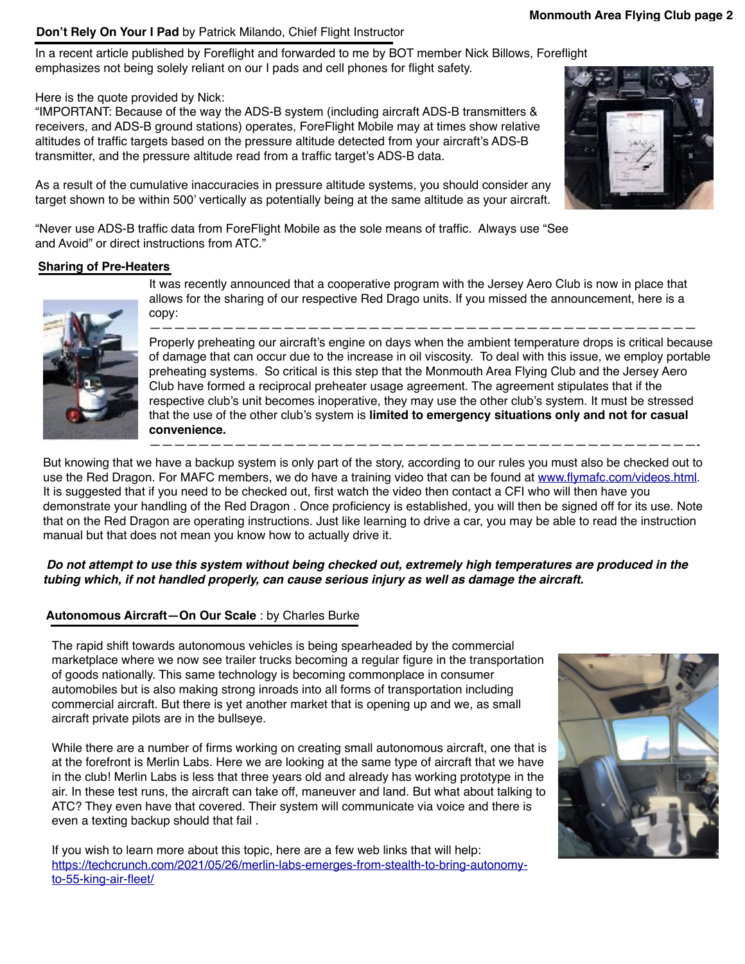#### **Don't Rely On Your I Pad** by Patrick Milando, Chief Flight Instructor

In a recent article published by Foreflight and forwarded to me by BOT member Nick Billows, Foreflight emphasizes not being solely reliant on our I pads and cell phones for flight safety.

Here is the quote provided by Nick:

"IMPORTANT: Because of the way the ADS-B system (including aircraft ADS-B transmitters & receivers, and ADS-B ground stations) operates, ForeFlight Mobile may at times show relative altitudes of traffic targets based on the pressure altitude detected from your aircraft's ADS-B transmitter, and the pressure altitude read from a traffic target's ADS-B data.

As a result of the cumulative inaccuracies in pressure altitude systems, you should consider any target shown to be within 500' vertically as potentially being at the same altitude as your aircraft.

"Never use ADS-B traffic data from ForeFlight Mobile as the sole means of traffic. Always use "See and Avoid" or direct instructions from ATC."

#### **Sharing of Pre-Heaters**



It was recently announced that a cooperative program with the Jersey Aero Club is now in place that allows for the sharing of our respective Red Drago units. If you missed the announcement, here is a copy:

————————————————————————————————————————————— Properly preheating our aircraft's engine on days when the ambient temperature drops is critical because of damage that can occur due to the increase in oil viscosity. To deal with this issue, we employ portable preheating systems. So critical is this step that the Monmouth Area Flying Club and the Jersey Aero Club have formed a reciprocal preheater usage agreement. The agreement stipulates that if the respective club's unit becomes inoperative, they may use the other club's system. It must be stressed that the use of the other club's system is **limited to emergency situations only and not for casual convenience.**

—————————————————————————————————————————————-

But knowing that we have a backup system is only part of the story, according to our rules you must also be checked out to use the Red Dragon. For MAFC members, we do have a training video that can be found at [www.flymafc.com/videos.html.](http://www.flymafc.com/videos.html) It is suggested that if you need to be checked out, first watch the video then contact a CFI who will then have you demonstrate your handling of the Red Dragon . Once proficiency is established, you will then be signed off for its use. Note that on the Red Dragon are operating instructions. Just like learning to drive a car, you may be able to read the instruction manual but that does not mean you know how to actually drive it.

#### *Do not attempt to use this system without being checked out, extremely high temperatures are produced in the tubing which, if not handled properly, can cause serious injury as well as damage the aircraft.*

# **Autonomous Aircraft—On Our Scale** : by Charles Burke

The rapid shift towards autonomous vehicles is being spearheaded by the commercial marketplace where we now see trailer trucks becoming a regular figure in the transportation of goods nationally. This same technology is becoming commonplace in consumer automobiles but is also making strong inroads into all forms of transportation including commercial aircraft. But there is yet another market that is opening up and we, as small aircraft private pilots are in the bullseye.

While there are a number of firms working on creating small autonomous aircraft, one that is at the forefront is Merlin Labs. Here we are looking at the same type of aircraft that we have in the club! Merlin Labs is less that three years old and already has working prototype in the air. In these test runs, the aircraft can take off, maneuver and land. But what about talking to ATC? They even have that covered. Their system will communicate via voice and there is even a texting backup should that fail .

If you wish to learn more about this topic, here are a few web links that will help: [https://techcrunch.com/2021/05/26/merlin-labs-emerges-from-stealth-to-bring-autonomy](https://techcrunch.com/2021/05/26/merlin-labs-emerges-from-stealth-to-bring-autonomy-to-55-king-air-fleet/)[to-55-king-air-fleet/](https://techcrunch.com/2021/05/26/merlin-labs-emerges-from-stealth-to-bring-autonomy-to-55-king-air-fleet/)



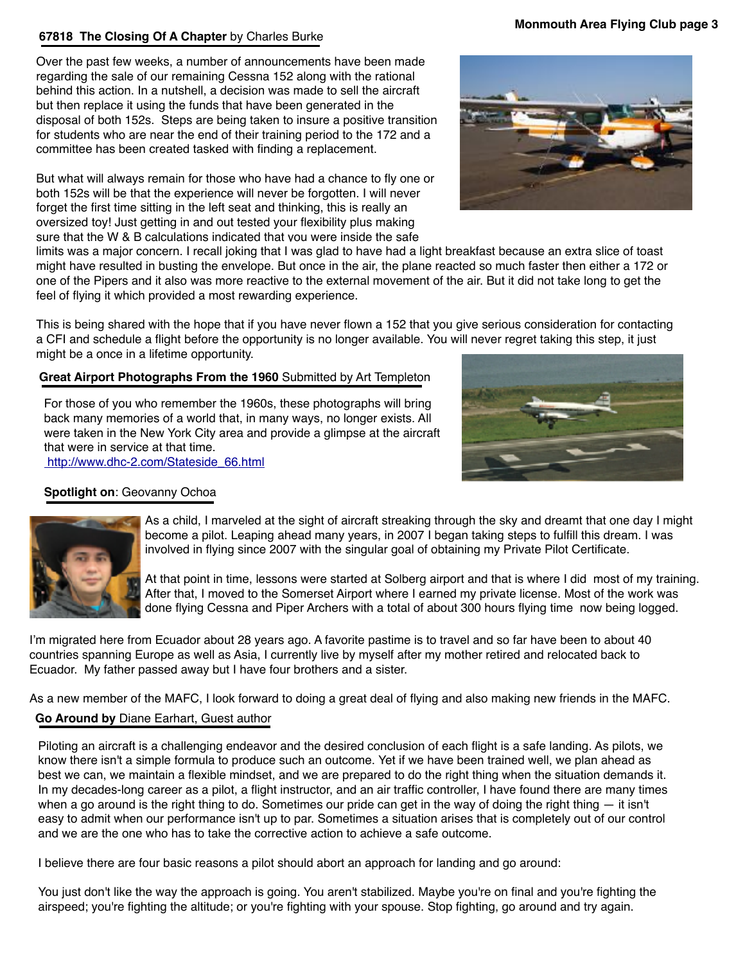# **67818 The Closing Of A Chapter** by Charles Burke

Over the past few weeks, a number of announcements have been made regarding the sale of our remaining Cessna 152 along with the rational behind this action. In a nutshell, a decision was made to sell the aircraft but then replace it using the funds that have been generated in the disposal of both 152s. Steps are being taken to insure a positive transition for students who are near the end of their training period to the 172 and a committee has been created tasked with finding a replacement.

But what will always remain for those who have had a chance to fly one or both 152s will be that the experience will never be forgotten. I will never forget the first time sitting in the left seat and thinking, this is really an oversized toy! Just getting in and out tested your flexibility plus making sure that the W & B calculations indicated that you were inside the safe

limits was a major concern. I recall joking that I was glad to have had a light breakfast because an extra slice of toast might have resulted in busting the envelope. But once in the air, the plane reacted so much faster then either a 172 or one of the Pipers and it also was more reactive to the external movement of the air. But it did not take long to get the feel of flying it which provided a most rewarding experience.

This is being shared with the hope that if you have never flown a 152 that you give serious consideration for contacting a CFI and schedule a flight before the opportunity is no longer available. You will never regret taking this step, it just might be a once in a lifetime opportunity.

# **Great Airport Photographs From the 1960** Submitted by Art Templeton

For those of you who remember the 1960s, these photographs will bring back many memories of a world that, in many ways, no longer exists. All were taken in the New York City area and provide a glimpse at the aircraft that were in service at that time.  [http://www.dhc-2.com/Stateside\\_66.html](http://www.apple.com)

# **Spotlight on**: Geovanny Ochoa

As a child, I marveled at the sight of aircraft streaking through the sky and dreamt that one day I might become a pilot. Leaping ahead many years, in 2007 I began taking steps to fulfill this dream. I was involved in flying since 2007 with the singular goal of obtaining my Private Pilot Certificate.

At that point in time, lessons were started at Solberg airport and that is where I did most of my training. After that, I moved to the Somerset Airport where I earned my private license. Most of the work was done flying Cessna and Piper Archers with a total of about 300 hours flying time now being logged.

I'm migrated here from Ecuador about 28 years ago. A favorite pastime is to travel and so far have been to about 40 countries spanning Europe as well as Asia, I currently live by myself after my mother retired and relocated back to Ecuador. My father passed away but I have four brothers and a sister.

As a new member of the MAFC, I look forward to doing a great deal of flying and also making new friends in the MAFC.

# **Go Around by** Diane Earhart, Guest author

Piloting an aircraft is a challenging endeavor and the desired conclusion of each flight is a safe landing. As pilots, we know there isn't a simple formula to produce such an outcome. Yet if we have been trained well, we plan ahead as best we can, we maintain a flexible mindset, and we are prepared to do the right thing when the situation demands it. In my decades-long career as a pilot, a flight instructor, and an air traffic controller, I have found there are many times when a go around is the right thing to do. Sometimes our pride can get in the way of doing the right thing  $-$  it isn't easy to admit when our performance isn't up to par. Sometimes a situation arises that is completely out of our control and we are the one who has to take the corrective action to achieve a safe outcome.

I believe there are four basic reasons a pilot should abort an approach for landing and go around:

You just don't like the way the approach is going. You aren't stabilized. Maybe you're on final and you're fighting the airspeed; you're fighting the altitude; or you're fighting with your spouse. Stop fighting, go around and try again.



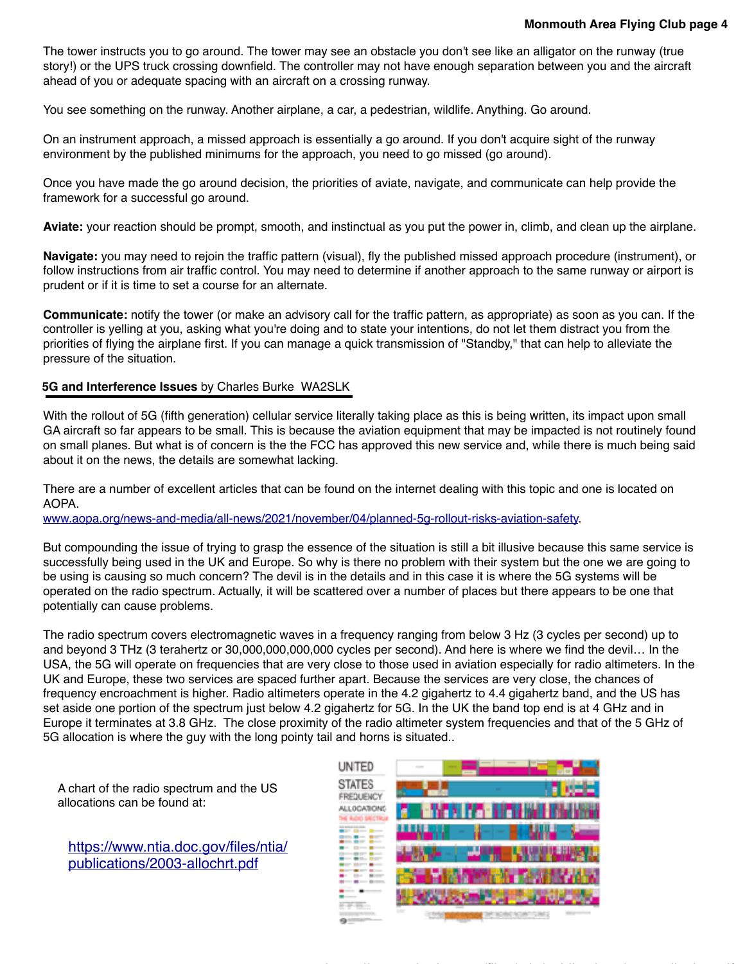The tower instructs you to go around. The tower may see an obstacle you don't see like an alligator on the runway (true story!) or the UPS truck crossing downfield. The controller may not have enough separation between you and the aircraft ahead of you or adequate spacing with an aircraft on a crossing runway.

You see something on the runway. Another airplane, a car, a pedestrian, wildlife. Anything. Go around.

On an instrument approach, a missed approach is essentially a go around. If you don't acquire sight of the runway environment by the published minimums for the approach, you need to go missed (go around).

Once you have made the go around decision, the priorities of aviate, navigate, and communicate can help provide the framework for a successful go around.

**Aviate:** your reaction should be prompt, smooth, and instinctual as you put the power in, climb, and clean up the airplane.

**Navigate:** you may need to rejoin the traffic pattern (visual), fly the published missed approach procedure (instrument), or follow instructions from air traffic control. You may need to determine if another approach to the same runway or airport is prudent or if it is time to set a course for an alternate.

**Communicate:** notify the tower (or make an advisory call for the traffic pattern, as appropriate) as soon as you can. If the controller is yelling at you, asking what you're doing and to state your intentions, do not let them distract you from the priorities of flying the airplane first. If you can manage a quick transmission of "Standby," that can help to alleviate the pressure of the situation.

#### **5G and Interference Issues** by Charles Burke WA2SLK

With the rollout of 5G (fifth generation) cellular service literally taking place as this is being written, its impact upon small GA aircraft so far appears to be small. This is because the aviation equipment that may be impacted is not routinely found on small planes. But what is of concern is the the FCC has approved this new service and, while there is much being said about it on the news, the details are somewhat lacking.

There are a number of excellent articles that can be found on the internet dealing with this topic and one is located on AOPA.

[www.aopa.org/news-and-media/all-news/2021/november/04/planned-5g-rollout-risks-aviation-safety.](http://www.aopa.org/news-and-media/all-news/2021/november/04/planned-5g-rollout-risks-aviation-safety)

But compounding the issue of trying to grasp the essence of the situation is still a bit illusive because this same service is successfully being used in the UK and Europe. So why is there no problem with their system but the one we are going to be using is causing so much concern? The devil is in the details and in this case it is where the 5G systems will be operated on the radio spectrum. Actually, it will be scattered over a number of places but there appears to be one that potentially can cause problems.

The radio spectrum covers electromagnetic waves in a frequency ranging from below 3 Hz (3 cycles per second) up to and beyond 3 THz (3 terahertz or 30,000,000,000,000 cycles per second). And here is where we find the devil… In the USA, the 5G will operate on frequencies that are very close to those used in aviation especially for radio altimeters. In the UK and Europe, these two services are spaced further apart. Because the services are very close, the chances of frequency encroachment is higher. Radio altimeters operate in the 4.2 gigahertz to 4.4 gigahertz band, and the US has set aside one portion of the spectrum just below 4.2 gigahertz for 5G. In the UK the band top end is at 4 GHz and in Europe it terminates at 3.8 GHz. The close proximity of the radio altimeter system frequencies and that of the 5 GHz of 5G allocation is where the guy with the long pointy tail and horns is situated..

A chart of the radio spectrum and the US allocations can be found at:

[https://www.ntia.doc.gov/files/ntia/](https://www.ntia.doc.gov/files/ntia/publications/2003-allochrt.pdf) [publications/2003-allochrt.pdf](https://www.ntia.doc.gov/files/ntia/publications/2003-allochrt.pdf)

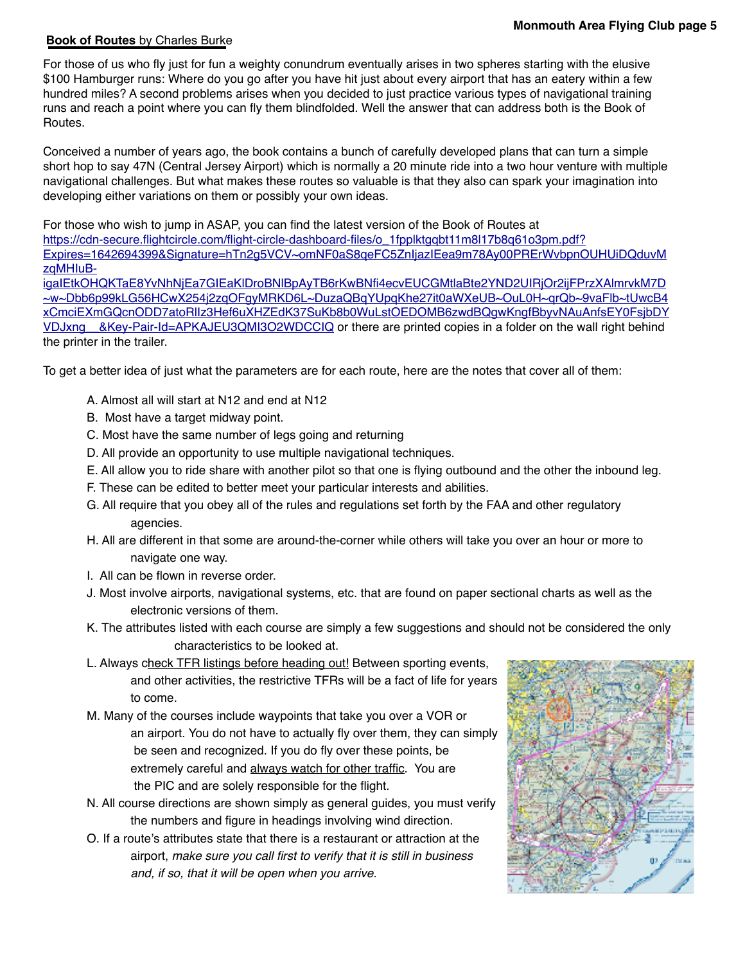### **Book of Routes** by Charles Burke

For those of us who fly just for fun a weighty conundrum eventually arises in two spheres starting with the elusive \$100 Hamburger runs: Where do you go after you have hit just about every airport that has an eatery within a few hundred miles? A second problems arises when you decided to just practice various types of navigational training runs and reach a point where you can fly them blindfolded. Well the answer that can address both is the Book of Routes.

Conceived a number of years ago, the book contains a bunch of carefully developed plans that can turn a simple short hop to say 47N (Central Jersey Airport) which is normally a 20 minute ride into a two hour venture with multiple navigational challenges. But what makes these routes so valuable is that they also can spark your imagination into developing either variations on them or possibly your own ideas.

For those who wish to jump in ASAP, you can find the latest version of the Book of Routes at [https://cdn-secure.flightcircle.com/flight-circle-dashboard-files/o\\_1fpplktgqbt11m8l17b8q61o3pm.pdf?](https://cdn-secure.flightcircle.com/flight-circle-dashboard-files/o_1fpplktgqbt11m8l17b8q61o3pm.pdf?Expires=1642694399&Signature=hTn2g5VCV~omNF0aS8qeFC5ZnIjazIEea9m78Ay00PRErWvbpnOUHUiDQduvMzqMHIuB-igaIEtkOHQKTaE8YvNhNjEa7GIEaKlDroBNlBpAyTB6rKwBNfi4ecvEUCGMtlaBte2YND2UIRjOr2ijFPrzXAlmrvkM7D~w~Dbb6p99kLG56HCwX254j2zqOFgyMRKD6L~DuzaQBqYUpqKhe27it0aWXeUB~OuL0H~qrQb~9vaFlb~tUwcB4xCmciEXmGQcnODD7atoRlIz3Hef6uXHZEdK37SuKb8b0WuLstOEDOMB6zwdBQgwKngfBbyvNAuAnfsEY0FsjbDYVDJxng__&Key-Pair-Id=APKAJEU3QMI3O2WDCCIQ) [Expires=1642694399&Signature=hTn2g5VCV~omNF0aS8qeFC5ZnIjazIEea9m78Ay00PRErWvbpnOUHUiDQduvM](https://cdn-secure.flightcircle.com/flight-circle-dashboard-files/o_1fpplktgqbt11m8l17b8q61o3pm.pdf?Expires=1642694399&Signature=hTn2g5VCV~omNF0aS8qeFC5ZnIjazIEea9m78Ay00PRErWvbpnOUHUiDQduvMzqMHIuB-igaIEtkOHQKTaE8YvNhNjEa7GIEaKlDroBNlBpAyTB6rKwBNfi4ecvEUCGMtlaBte2YND2UIRjOr2ijFPrzXAlmrvkM7D~w~Dbb6p99kLG56HCwX254j2zqOFgyMRKD6L~DuzaQBqYUpqKhe27it0aWXeUB~OuL0H~qrQb~9vaFlb~tUwcB4xCmciEXmGQcnODD7atoRlIz3Hef6uXHZEdK37SuKb8b0WuLstOEDOMB6zwdBQgwKngfBbyvNAuAnfsEY0FsjbDYVDJxng__&Key-Pair-Id=APKAJEU3QMI3O2WDCCIQ) [zqMHIuB-](https://cdn-secure.flightcircle.com/flight-circle-dashboard-files/o_1fpplktgqbt11m8l17b8q61o3pm.pdf?Expires=1642694399&Signature=hTn2g5VCV~omNF0aS8qeFC5ZnIjazIEea9m78Ay00PRErWvbpnOUHUiDQduvMzqMHIuB-igaIEtkOHQKTaE8YvNhNjEa7GIEaKlDroBNlBpAyTB6rKwBNfi4ecvEUCGMtlaBte2YND2UIRjOr2ijFPrzXAlmrvkM7D~w~Dbb6p99kLG56HCwX254j2zqOFgyMRKD6L~DuzaQBqYUpqKhe27it0aWXeUB~OuL0H~qrQb~9vaFlb~tUwcB4xCmciEXmGQcnODD7atoRlIz3Hef6uXHZEdK37SuKb8b0WuLstOEDOMB6zwdBQgwKngfBbyvNAuAnfsEY0FsjbDYVDJxng__&Key-Pair-Id=APKAJEU3QMI3O2WDCCIQ)

[igaIEtkOHQKTaE8YvNhNjEa7GIEaKlDroBNlBpAyTB6rKwBNfi4ecvEUCGMtlaBte2YND2UIRjOr2ijFPrzXAlmrvkM7D](https://cdn-secure.flightcircle.com/flight-circle-dashboard-files/o_1fpplktgqbt11m8l17b8q61o3pm.pdf?Expires=1642694399&Signature=hTn2g5VCV~omNF0aS8qeFC5ZnIjazIEea9m78Ay00PRErWvbpnOUHUiDQduvMzqMHIuB-igaIEtkOHQKTaE8YvNhNjEa7GIEaKlDroBNlBpAyTB6rKwBNfi4ecvEUCGMtlaBte2YND2UIRjOr2ijFPrzXAlmrvkM7D~w~Dbb6p99kLG56HCwX254j2zqOFgyMRKD6L~DuzaQBqYUpqKhe27it0aWXeUB~OuL0H~qrQb~9vaFlb~tUwcB4xCmciEXmGQcnODD7atoRlIz3Hef6uXHZEdK37SuKb8b0WuLstOEDOMB6zwdBQgwKngfBbyvNAuAnfsEY0FsjbDYVDJxng__&Key-Pair-Id=APKAJEU3QMI3O2WDCCIQ) [~w~Dbb6p99kLG56HCwX254j2zqOFgyMRKD6L~DuzaQBqYUpqKhe27it0aWXeUB~OuL0H~qrQb~9vaFlb~tUwcB4](https://cdn-secure.flightcircle.com/flight-circle-dashboard-files/o_1fpplktgqbt11m8l17b8q61o3pm.pdf?Expires=1642694399&Signature=hTn2g5VCV~omNF0aS8qeFC5ZnIjazIEea9m78Ay00PRErWvbpnOUHUiDQduvMzqMHIuB-igaIEtkOHQKTaE8YvNhNjEa7GIEaKlDroBNlBpAyTB6rKwBNfi4ecvEUCGMtlaBte2YND2UIRjOr2ijFPrzXAlmrvkM7D~w~Dbb6p99kLG56HCwX254j2zqOFgyMRKD6L~DuzaQBqYUpqKhe27it0aWXeUB~OuL0H~qrQb~9vaFlb~tUwcB4xCmciEXmGQcnODD7atoRlIz3Hef6uXHZEdK37SuKb8b0WuLstOEDOMB6zwdBQgwKngfBbyvNAuAnfsEY0FsjbDYVDJxng__&Key-Pair-Id=APKAJEU3QMI3O2WDCCIQ) [xCmciEXmGQcnODD7atoRlIz3Hef6uXHZEdK37SuKb8b0WuLstOEDOMB6zwdBQgwKngfBbyvNAuAnfsEY0FsjbDY](https://cdn-secure.flightcircle.com/flight-circle-dashboard-files/o_1fpplktgqbt11m8l17b8q61o3pm.pdf?Expires=1642694399&Signature=hTn2g5VCV~omNF0aS8qeFC5ZnIjazIEea9m78Ay00PRErWvbpnOUHUiDQduvMzqMHIuB-igaIEtkOHQKTaE8YvNhNjEa7GIEaKlDroBNlBpAyTB6rKwBNfi4ecvEUCGMtlaBte2YND2UIRjOr2ijFPrzXAlmrvkM7D~w~Dbb6p99kLG56HCwX254j2zqOFgyMRKD6L~DuzaQBqYUpqKhe27it0aWXeUB~OuL0H~qrQb~9vaFlb~tUwcB4xCmciEXmGQcnODD7atoRlIz3Hef6uXHZEdK37SuKb8b0WuLstOEDOMB6zwdBQgwKngfBbyvNAuAnfsEY0FsjbDYVDJxng__&Key-Pair-Id=APKAJEU3QMI3O2WDCCIQ) VDJxng &Key-Pair-Id=APKAJEU3QMI3O2WDCCIQ or there are printed copies in a folder on the wall right behind the printer in the trailer.

To get a better idea of just what the parameters are for each route, here are the notes that cover all of them:

- A. Almost all will start at N12 and end at N12
- B. Most have a target midway point.
- C. Most have the same number of legs going and returning
- D. All provide an opportunity to use multiple navigational techniques.
- E. All allow you to ride share with another pilot so that one is flying outbound and the other the inbound leg.
- F. These can be edited to better meet your particular interests and abilities.
- G. All require that you obey all of the rules and regulations set forth by the FAA and other regulatory agencies.
- H. All are different in that some are around-the-corner while others will take you over an hour or more to navigate one way.
- I. All can be flown in reverse order.
- J. Most involve airports, navigational systems, etc. that are found on paper sectional charts as well as the electronic versions of them.
- K. The attributes listed with each course are simply a few suggestions and should not be considered the only characteristics to be looked at.
- L. Always check TFR listings before heading out! Between sporting events, and other activities, the restrictive TFRs will be a fact of life for years to come.
- M. Many of the courses include waypoints that take you over a VOR or an airport. You do not have to actually fly over them, they can simply be seen and recognized. If you do fly over these points, be extremely careful and always watch for other traffic. You are the PIC and are solely responsible for the flight.
- N. All course directions are shown simply as general guides, you must verify the numbers and figure in headings involving wind direction.
- O. If a route's attributes state that there is a restaurant or attraction at the airport, *make sure you call first to verify that it is still in business and, if so, that it will be open when you arrive.*